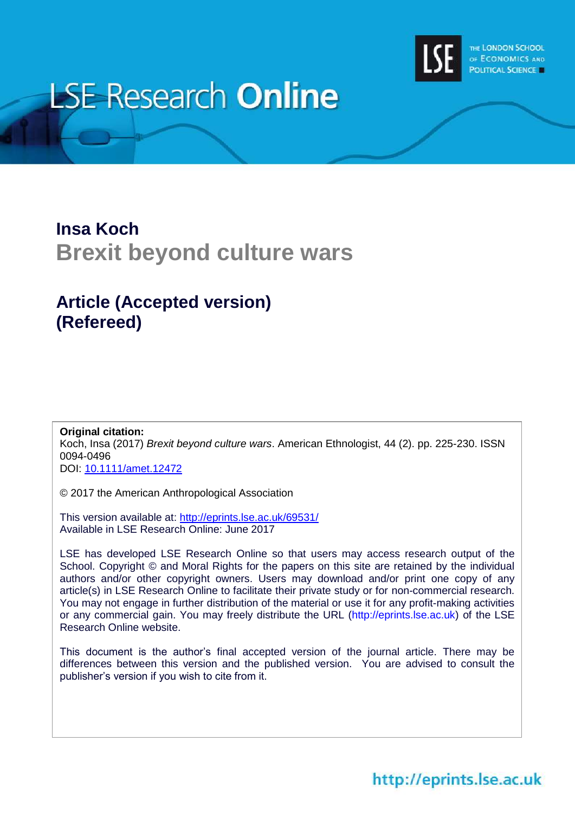

# **LSE Research Online**

## **Insa Koch Brexit beyond culture wars**

### **Article (Accepted version) (Refereed)**

**Original citation:** Koch, Insa (2017) *Brexit beyond culture wars*. American Ethnologist, 44 (2). pp. 225-230. ISSN 0094-0496 DOI: [10.1111/amet.12472](http://dx.doi.org/10.1111/amet.12472)

© 2017 the American Anthropological Association

This version available at:<http://eprints.lse.ac.uk/69531/> Available in LSE Research Online: June 2017

LSE has developed LSE Research Online so that users may access research output of the School. Copyright © and Moral Rights for the papers on this site are retained by the individual authors and/or other copyright owners. Users may download and/or print one copy of any article(s) in LSE Research Online to facilitate their private study or for non-commercial research. You may not engage in further distribution of the material or use it for any profit-making activities or any commercial gain. You may freely distribute the URL (http://eprints.lse.ac.uk) of the LSE Research Online website.

This document is the author's final accepted version of the journal article. There may be differences between this version and the published version. You are advised to consult the publisher's version if you wish to cite from it.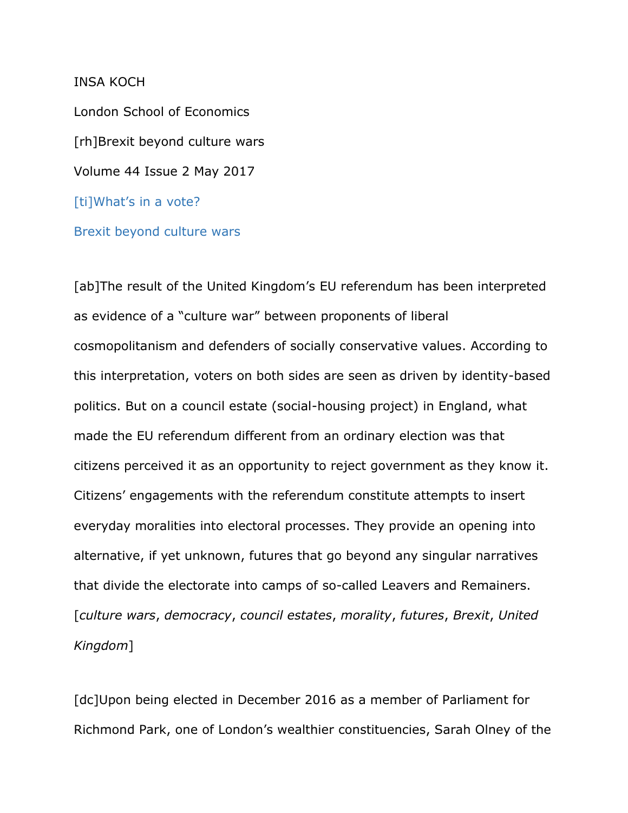#### INSA KOCH

London School of Economics [rh]Brexit beyond culture wars Volume 44 Issue 2 May 2017 [ti]What's in a vote? Brexit beyond culture wars

[ab]The result of the United Kingdom's EU referendum has been interpreted as evidence of a "culture war" between proponents of liberal cosmopolitanism and defenders of socially conservative values. According to this interpretation, voters on both sides are seen as driven by identity-based politics. But on a council estate (social-housing project) in England, what made the EU referendum different from an ordinary election was that citizens perceived it as an opportunity to reject government as they know it. Citizens' engagements with the referendum constitute attempts to insert everyday moralities into electoral processes. They provide an opening into alternative, if yet unknown, futures that go beyond any singular narratives that divide the electorate into camps of so-called Leavers and Remainers. [*culture wars*, *democracy*, *council estates*, *morality*, *futures*, *Brexit*, *United Kingdom*]

[dc]Upon being elected in December 2016 as a member of Parliament for Richmond Park, one of London's wealthier constituencies, Sarah Olney of the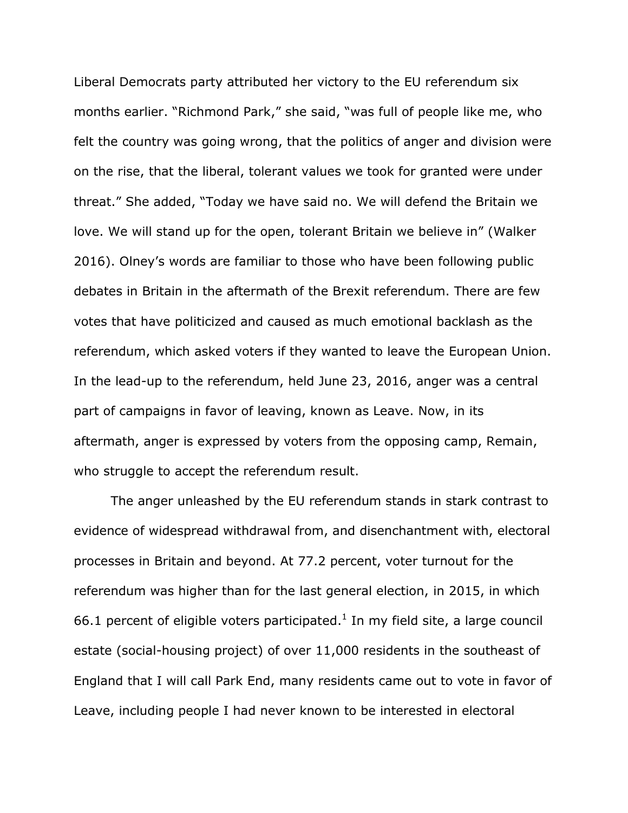Liberal Democrats party attributed her victory to the EU referendum six months earlier. "Richmond Park," she said, "was full of people like me, who felt the country was going wrong, that the politics of anger and division were on the rise, that the liberal, tolerant values we took for granted were under threat." She added, "Today we have said no. We will defend the Britain we love. We will stand up for the open, tolerant Britain we believe in" (Walker 2016). Olney's words are familiar to those who have been following public debates in Britain in the aftermath of the Brexit referendum. There are few votes that have politicized and caused as much emotional backlash as the referendum, which asked voters if they wanted to leave the European Union. In the lead-up to the referendum, held June 23, 2016, anger was a central part of campaigns in favor of leaving, known as Leave. Now, in its aftermath, anger is expressed by voters from the opposing camp, Remain, who struggle to accept the referendum result.

The anger unleashed by the EU referendum stands in stark contrast to evidence of widespread withdrawal from, and disenchantment with, electoral processes in Britain and beyond. At 77.2 percent, voter turnout for the referendum was higher than for the last general election, in 2015, in which 66.1 percent of eligible voters participated. $<sup>1</sup>$  In my field site, a large council</sup> estate (social-housing project) of over 11,000 residents in the southeast of England that I will call Park End, many residents came out to vote in favor of Leave, including people I had never known to be interested in electoral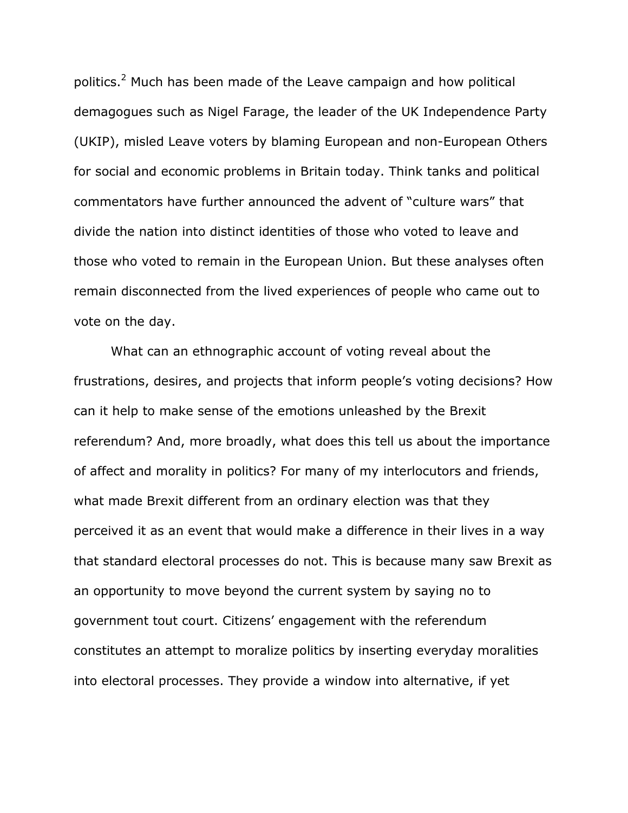politics.<sup>2</sup> Much has been made of the Leave campaign and how political demagogues such as Nigel Farage, the leader of the UK Independence Party (UKIP), misled Leave voters by blaming European and non-European Others for social and economic problems in Britain today. Think tanks and political commentators have further announced the advent of "culture wars" that divide the nation into distinct identities of those who voted to leave and those who voted to remain in the European Union. But these analyses often remain disconnected from the lived experiences of people who came out to vote on the day.

What can an ethnographic account of voting reveal about the frustrations, desires, and projects that inform people's voting decisions? How can it help to make sense of the emotions unleashed by the Brexit referendum? And, more broadly, what does this tell us about the importance of affect and morality in politics? For many of my interlocutors and friends, what made Brexit different from an ordinary election was that they perceived it as an event that would make a difference in their lives in a way that standard electoral processes do not. This is because many saw Brexit as an opportunity to move beyond the current system by saying no to government tout court. Citizens' engagement with the referendum constitutes an attempt to moralize politics by inserting everyday moralities into electoral processes. They provide a window into alternative, if yet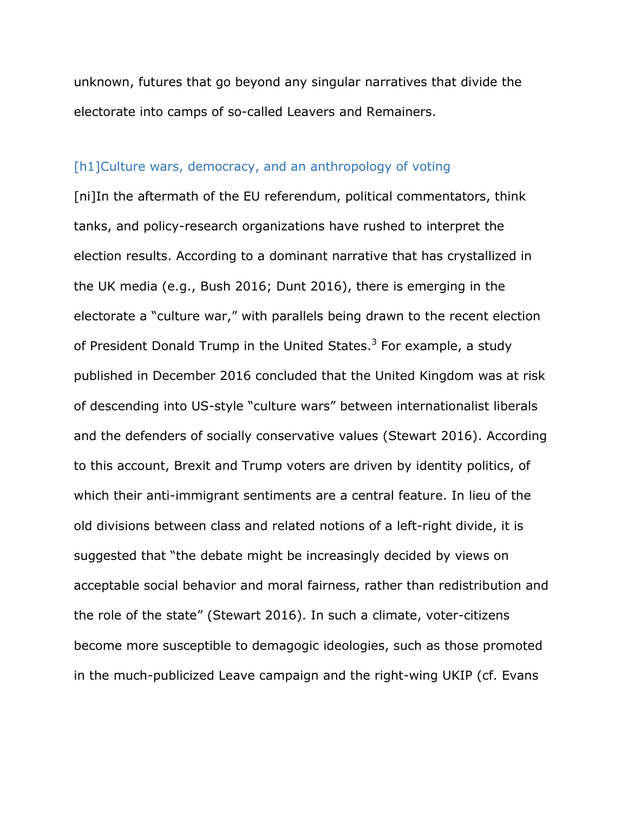unknown, futures that go beyond any singular narratives that divide the electorate into camps of so-called Leavers and Remainers.

#### [h1]Culture wars, democracy, and an anthropology of voting

[ni]In the aftermath of the EU referendum, political commentators, think tanks, and policy-research organizations have rushed to interpret the election results. According to a dominant narrative that has crystallized in the UK media (e.g., Bush 2016; Dunt 2016), there is emerging in the electorate a "culture war," with parallels being drawn to the recent election of President Donald Trump in the United States.<sup>3</sup> For example, a study published in December 2016 concluded that the United Kingdom was at risk of descending into US-style "culture wars" between internationalist liberals and the defenders of socially conservative values (Stewart 2016). According to this account, Brexit and Trump voters are driven by identity politics, of which their anti-immigrant sentiments are a central feature. In lieu of the old divisions between class and related notions of a left-right divide, it is suggested that "the debate might be increasingly decided by views on acceptable social behavior and moral fairness, rather than redistribution and the role of the state" (Stewart 2016). In such a climate, voter-citizens become more susceptible to demagogic ideologies, such as those promoted in the much-publicized Leave campaign and the right-wing UKIP (cf. Evans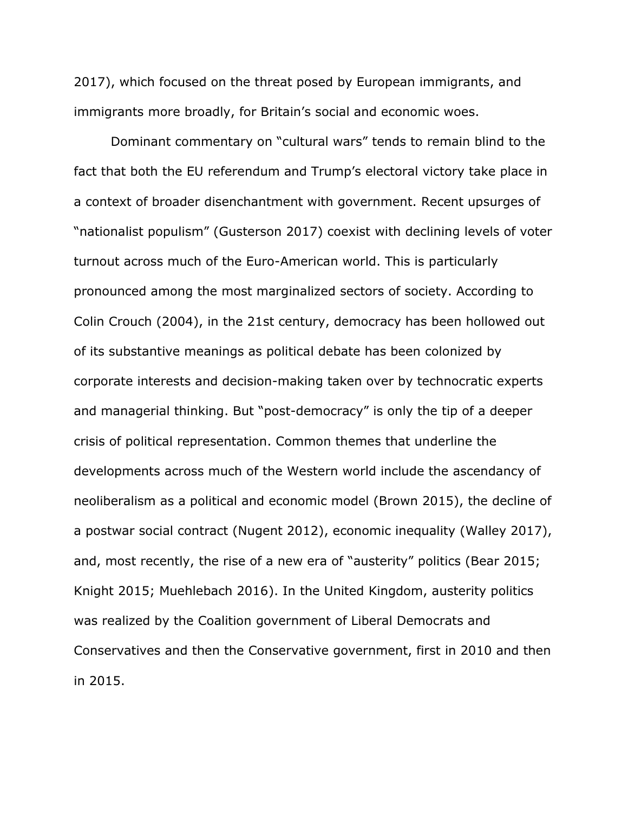2017), which focused on the threat posed by European immigrants, and immigrants more broadly, for Britain's social and economic woes.

Dominant commentary on "cultural wars" tends to remain blind to the fact that both the EU referendum and Trump's electoral victory take place in a context of broader disenchantment with government. Recent upsurges of "nationalist populism" (Gusterson 2017) coexist with declining levels of voter turnout across much of the Euro-American world. This is particularly pronounced among the most marginalized sectors of society. According to Colin Crouch (2004), in the 21st century, democracy has been hollowed out of its substantive meanings as political debate has been colonized by corporate interests and decision-making taken over by technocratic experts and managerial thinking. But "post-democracy" is only the tip of a deeper crisis of political representation. Common themes that underline the developments across much of the Western world include the ascendancy of neoliberalism as a political and economic model (Brown 2015), the decline of a postwar social contract (Nugent 2012), economic inequality (Walley 2017), and, most recently, the rise of a new era of "austerity" politics (Bear 2015; Knight 2015; Muehlebach 2016). In the United Kingdom, austerity politics was realized by the Coalition government of Liberal Democrats and Conservatives and then the Conservative government, first in 2010 and then in 2015.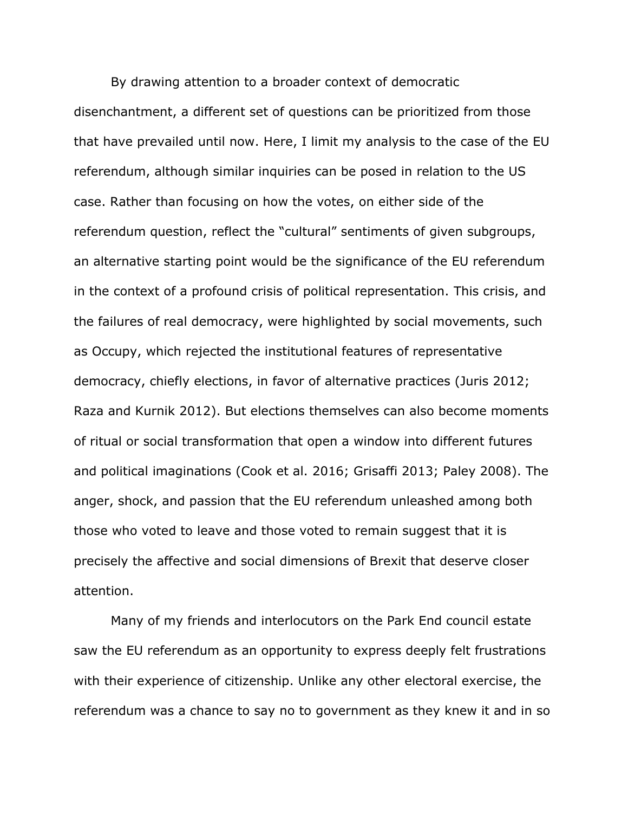By drawing attention to a broader context of democratic disenchantment, a different set of questions can be prioritized from those that have prevailed until now. Here, I limit my analysis to the case of the EU referendum, although similar inquiries can be posed in relation to the US case. Rather than focusing on how the votes, on either side of the referendum question, reflect the "cultural" sentiments of given subgroups, an alternative starting point would be the significance of the EU referendum in the context of a profound crisis of political representation. This crisis, and the failures of real democracy, were highlighted by social movements, such as Occupy, which rejected the institutional features of representative democracy, chiefly elections, in favor of alternative practices (Juris 2012; Raza and Kurnik 2012). But elections themselves can also become moments of ritual or social transformation that open a window into different futures and political imaginations (Cook et al. 2016; Grisaffi 2013; Paley 2008). The anger, shock, and passion that the EU referendum unleashed among both those who voted to leave and those voted to remain suggest that it is precisely the affective and social dimensions of Brexit that deserve closer attention.

Many of my friends and interlocutors on the Park End council estate saw the EU referendum as an opportunity to express deeply felt frustrations with their experience of citizenship. Unlike any other electoral exercise, the referendum was a chance to say no to government as they knew it and in so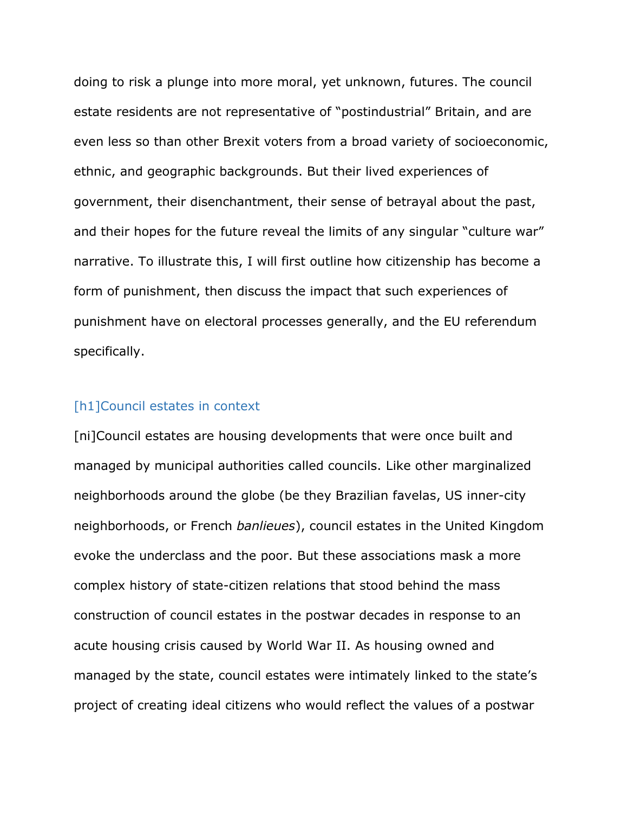doing to risk a plunge into more moral, yet unknown, futures. The council estate residents are not representative of "postindustrial" Britain, and are even less so than other Brexit voters from a broad variety of socioeconomic, ethnic, and geographic backgrounds. But their lived experiences of government, their disenchantment, their sense of betrayal about the past, and their hopes for the future reveal the limits of any singular "culture war" narrative. To illustrate this, I will first outline how citizenship has become a form of punishment, then discuss the impact that such experiences of punishment have on electoral processes generally, and the EU referendum specifically.

#### [h1]Council estates in context

[ni]Council estates are housing developments that were once built and managed by municipal authorities called councils. Like other marginalized neighborhoods around the globe (be they Brazilian favelas, US inner-city neighborhoods, or French *banlieues*), council estates in the United Kingdom evoke the underclass and the poor. But these associations mask a more complex history of state-citizen relations that stood behind the mass construction of council estates in the postwar decades in response to an acute housing crisis caused by World War II. As housing owned and managed by the state, council estates were intimately linked to the state's project of creating ideal citizens who would reflect the values of a postwar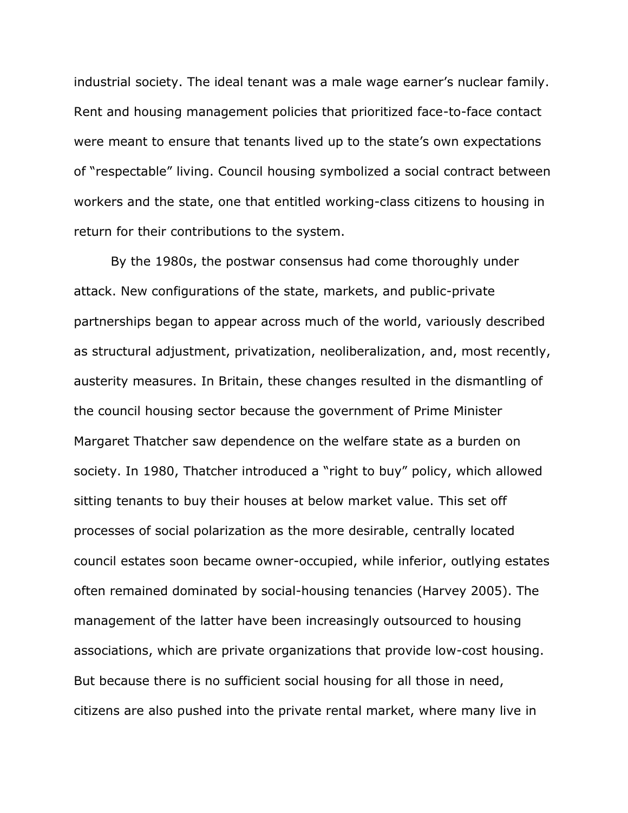industrial society. The ideal tenant was a male wage earner's nuclear family. Rent and housing management policies that prioritized face-to-face contact were meant to ensure that tenants lived up to the state's own expectations of "respectable" living. Council housing symbolized a social contract between workers and the state, one that entitled working-class citizens to housing in return for their contributions to the system.

By the 1980s, the postwar consensus had come thoroughly under attack. New configurations of the state, markets, and public-private partnerships began to appear across much of the world, variously described as structural adjustment, privatization, neoliberalization, and, most recently, austerity measures. In Britain, these changes resulted in the dismantling of the council housing sector because the government of Prime Minister Margaret Thatcher saw dependence on the welfare state as a burden on society. In 1980, Thatcher introduced a "right to buy" policy, which allowed sitting tenants to buy their houses at below market value. This set off processes of social polarization as the more desirable, centrally located council estates soon became owner-occupied, while inferior, outlying estates often remained dominated by social-housing tenancies (Harvey 2005). The management of the latter have been increasingly outsourced to housing associations, which are private organizations that provide low-cost housing. But because there is no sufficient social housing for all those in need, citizens are also pushed into the private rental market, where many live in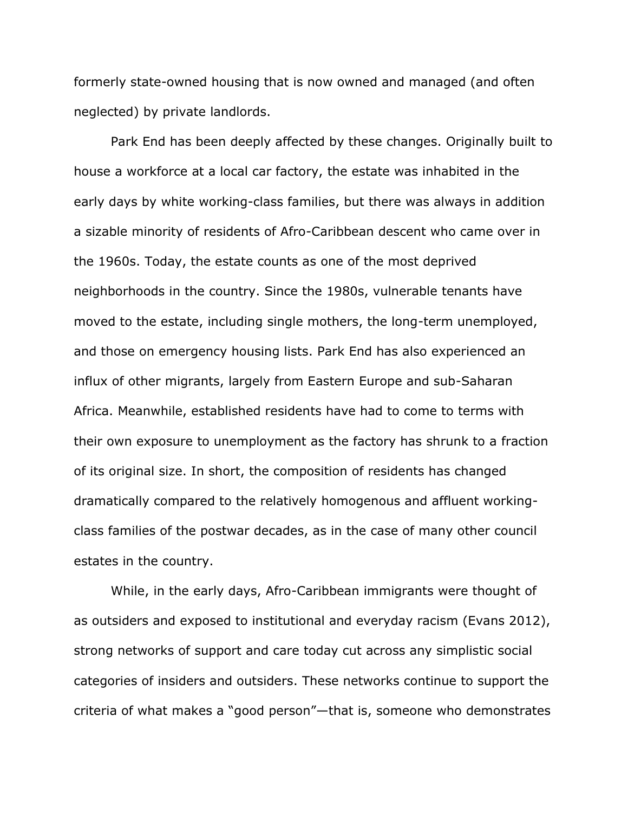formerly state-owned housing that is now owned and managed (and often neglected) by private landlords.

Park End has been deeply affected by these changes. Originally built to house a workforce at a local car factory, the estate was inhabited in the early days by white working-class families, but there was always in addition a sizable minority of residents of Afro-Caribbean descent who came over in the 1960s. Today, the estate counts as one of the most deprived neighborhoods in the country. Since the 1980s, vulnerable tenants have moved to the estate, including single mothers, the long-term unemployed, and those on emergency housing lists. Park End has also experienced an influx of other migrants, largely from Eastern Europe and sub-Saharan Africa. Meanwhile, established residents have had to come to terms with their own exposure to unemployment as the factory has shrunk to a fraction of its original size. In short, the composition of residents has changed dramatically compared to the relatively homogenous and affluent workingclass families of the postwar decades, as in the case of many other council estates in the country.

While, in the early days, Afro-Caribbean immigrants were thought of as outsiders and exposed to institutional and everyday racism (Evans 2012), strong networks of support and care today cut across any simplistic social categories of insiders and outsiders. These networks continue to support the criteria of what makes a "good person"—that is, someone who demonstrates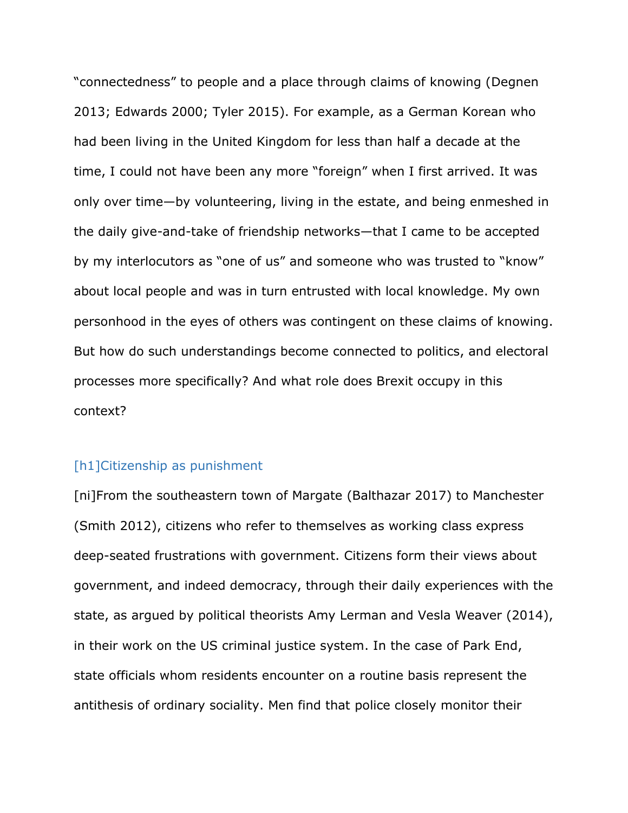"connectedness" to people and a place through claims of knowing (Degnen 2013; Edwards 2000; Tyler 2015). For example, as a German Korean who had been living in the United Kingdom for less than half a decade at the time, I could not have been any more "foreign" when I first arrived. It was only over time—by volunteering, living in the estate, and being enmeshed in the daily give-and-take of friendship networks—that I came to be accepted by my interlocutors as "one of us" and someone who was trusted to "know" about local people and was in turn entrusted with local knowledge. My own personhood in the eyes of others was contingent on these claims of knowing. But how do such understandings become connected to politics, and electoral processes more specifically? And what role does Brexit occupy in this context?

#### [h1]Citizenship as punishment

[ni]From the southeastern town of Margate (Balthazar 2017) to Manchester (Smith 2012), citizens who refer to themselves as working class express deep-seated frustrations with government. Citizens form their views about government, and indeed democracy, through their daily experiences with the state, as argued by political theorists Amy Lerman and Vesla Weaver (2014), in their work on the US criminal justice system. In the case of Park End, state officials whom residents encounter on a routine basis represent the antithesis of ordinary sociality. Men find that police closely monitor their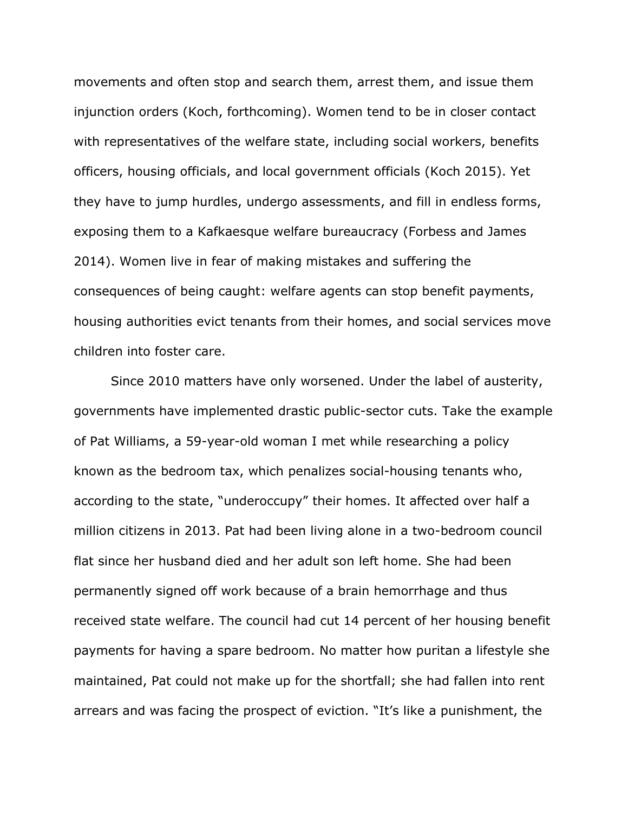movements and often stop and search them, arrest them, and issue them injunction orders (Koch, forthcoming). Women tend to be in closer contact with representatives of the welfare state, including social workers, benefits officers, housing officials, and local government officials (Koch 2015). Yet they have to jump hurdles, undergo assessments, and fill in endless forms, exposing them to a Kafkaesque welfare bureaucracy (Forbess and James 2014). Women live in fear of making mistakes and suffering the consequences of being caught: welfare agents can stop benefit payments, housing authorities evict tenants from their homes, and social services move children into foster care.

Since 2010 matters have only worsened. Under the label of austerity, governments have implemented drastic public-sector cuts. Take the example of Pat Williams, a 59-year-old woman I met while researching a policy known as the bedroom tax, which penalizes social-housing tenants who, according to the state, "underoccupy" their homes. It affected over half a million citizens in 2013. Pat had been living alone in a two-bedroom council flat since her husband died and her adult son left home. She had been permanently signed off work because of a brain hemorrhage and thus received state welfare. The council had cut 14 percent of her housing benefit payments for having a spare bedroom. No matter how puritan a lifestyle she maintained, Pat could not make up for the shortfall; she had fallen into rent arrears and was facing the prospect of eviction. "It's like a punishment, the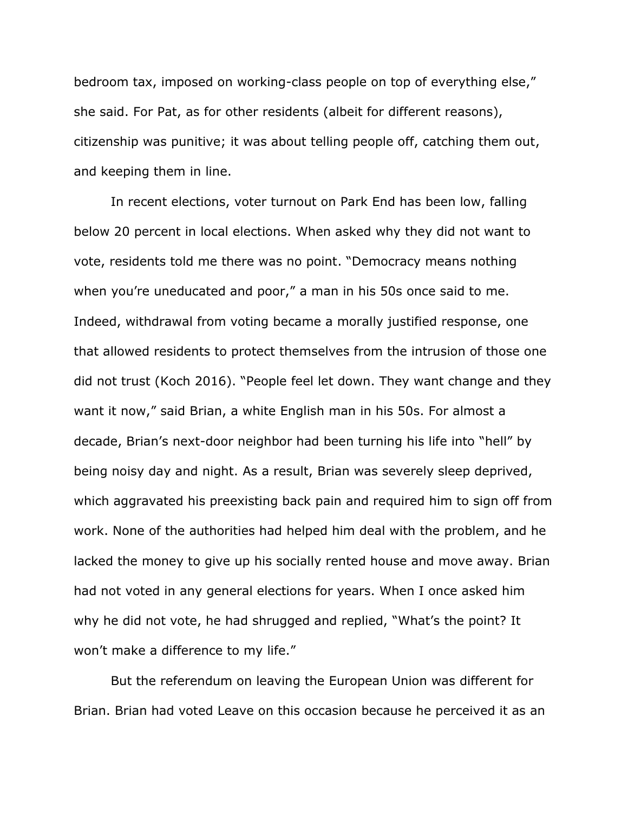bedroom tax, imposed on working-class people on top of everything else," she said. For Pat, as for other residents (albeit for different reasons), citizenship was punitive; it was about telling people off, catching them out, and keeping them in line.

In recent elections, voter turnout on Park End has been low, falling below 20 percent in local elections. When asked why they did not want to vote, residents told me there was no point. "Democracy means nothing when you're uneducated and poor," a man in his 50s once said to me. Indeed, withdrawal from voting became a morally justified response, one that allowed residents to protect themselves from the intrusion of those one did not trust (Koch 2016). "People feel let down. They want change and they want it now," said Brian, a white English man in his 50s. For almost a decade, Brian's next-door neighbor had been turning his life into "hell" by being noisy day and night. As a result, Brian was severely sleep deprived, which aggravated his preexisting back pain and required him to sign off from work. None of the authorities had helped him deal with the problem, and he lacked the money to give up his socially rented house and move away. Brian had not voted in any general elections for years. When I once asked him why he did not vote, he had shrugged and replied, "What's the point? It won't make a difference to my life."

But the referendum on leaving the European Union was different for Brian. Brian had voted Leave on this occasion because he perceived it as an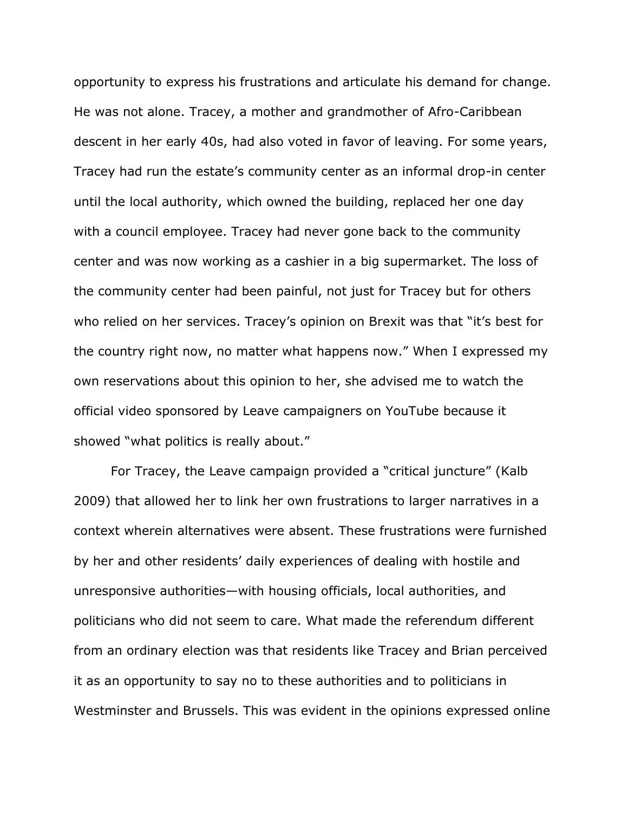opportunity to express his frustrations and articulate his demand for change. He was not alone. Tracey, a mother and grandmother of Afro-Caribbean descent in her early 40s, had also voted in favor of leaving. For some years, Tracey had run the estate's community center as an informal drop-in center until the local authority, which owned the building, replaced her one day with a council employee. Tracey had never gone back to the community center and was now working as a cashier in a big supermarket. The loss of the community center had been painful, not just for Tracey but for others who relied on her services. Tracey's opinion on Brexit was that "it's best for the country right now, no matter what happens now." When I expressed my own reservations about this opinion to her, she advised me to watch the official video sponsored by Leave campaigners on YouTube because it showed "what politics is really about."

For Tracey, the Leave campaign provided a "critical juncture" (Kalb 2009) that allowed her to link her own frustrations to larger narratives in a context wherein alternatives were absent. These frustrations were furnished by her and other residents' daily experiences of dealing with hostile and unresponsive authorities—with housing officials, local authorities, and politicians who did not seem to care. What made the referendum different from an ordinary election was that residents like Tracey and Brian perceived it as an opportunity to say no to these authorities and to politicians in Westminster and Brussels. This was evident in the opinions expressed online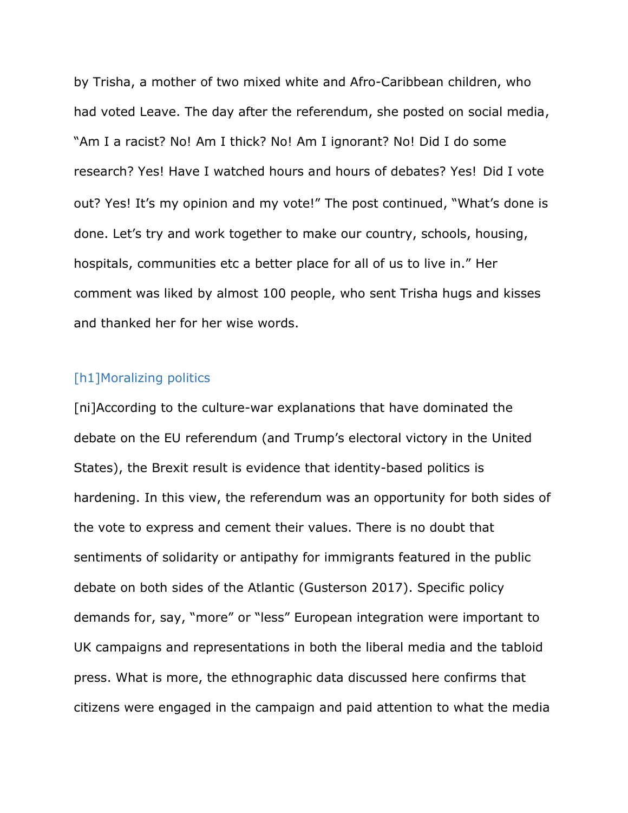by Trisha, a mother of two mixed white and Afro-Caribbean children, who had voted Leave. The day after the referendum, she posted on social media, "Am I a racist? No! Am I thick? No! Am I ignorant? No! Did I do some research? Yes! Have I watched hours and hours of debates? Yes! Did I vote out? Yes! It's my opinion and my vote!" The post continued, "What's done is done. Let's try and work together to make our country, schools, housing, hospitals, communities etc a better place for all of us to live in." Her comment was liked by almost 100 people, who sent Trisha hugs and kisses and thanked her for her wise words.

#### [h1]Moralizing politics

[ni]According to the culture-war explanations that have dominated the debate on the EU referendum (and Trump's electoral victory in the United States), the Brexit result is evidence that identity-based politics is hardening. In this view, the referendum was an opportunity for both sides of the vote to express and cement their values. There is no doubt that sentiments of solidarity or antipathy for immigrants featured in the public debate on both sides of the Atlantic (Gusterson 2017). Specific policy demands for, say, "more" or "less" European integration were important to UK campaigns and representations in both the liberal media and the tabloid press. What is more, the ethnographic data discussed here confirms that citizens were engaged in the campaign and paid attention to what the media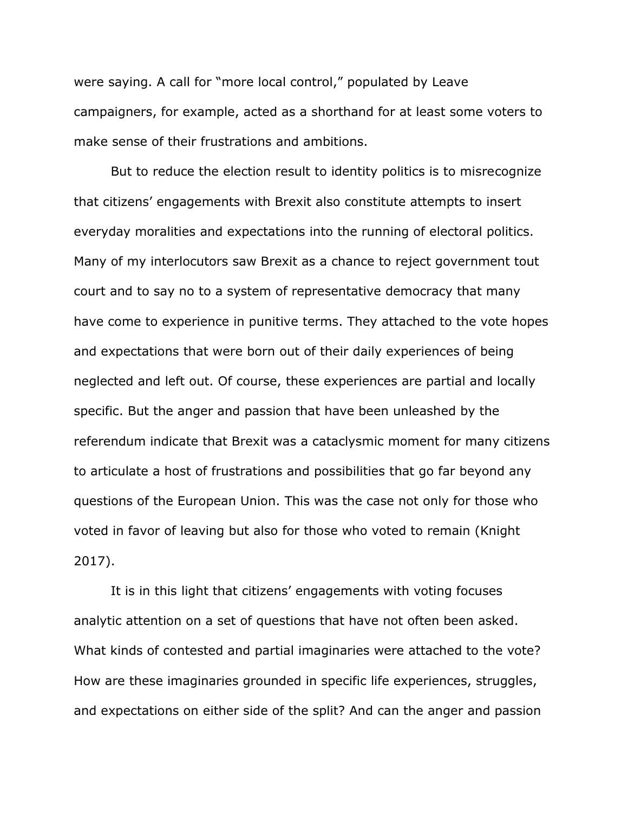were saying. A call for "more local control," populated by Leave campaigners, for example, acted as a shorthand for at least some voters to make sense of their frustrations and ambitions.

But to reduce the election result to identity politics is to misrecognize that citizens' engagements with Brexit also constitute attempts to insert everyday moralities and expectations into the running of electoral politics. Many of my interlocutors saw Brexit as a chance to reject government tout court and to say no to a system of representative democracy that many have come to experience in punitive terms. They attached to the vote hopes and expectations that were born out of their daily experiences of being neglected and left out. Of course, these experiences are partial and locally specific. But the anger and passion that have been unleashed by the referendum indicate that Brexit was a cataclysmic moment for many citizens to articulate a host of frustrations and possibilities that go far beyond any questions of the European Union. This was the case not only for those who voted in favor of leaving but also for those who voted to remain (Knight 2017).

It is in this light that citizens' engagements with voting focuses analytic attention on a set of questions that have not often been asked. What kinds of contested and partial imaginaries were attached to the vote? How are these imaginaries grounded in specific life experiences, struggles, and expectations on either side of the split? And can the anger and passion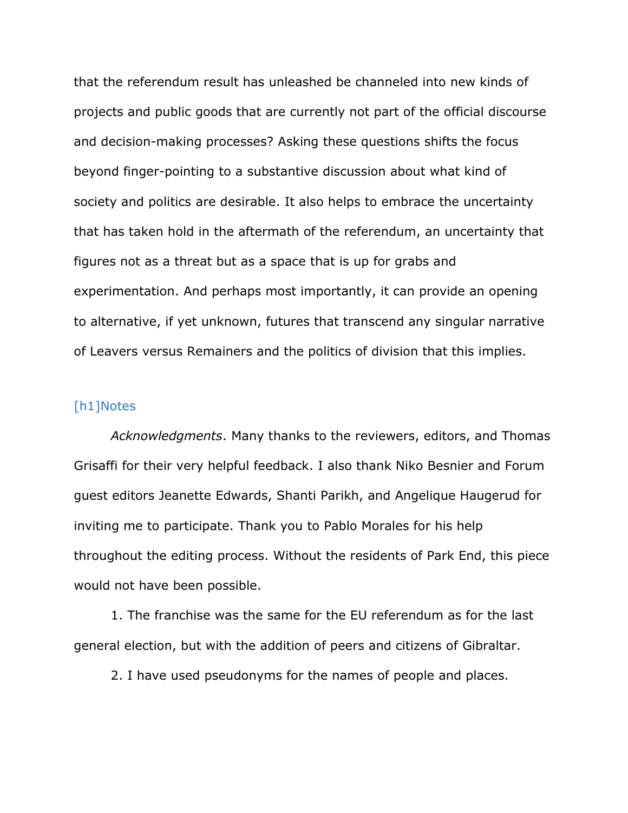that the referendum result has unleashed be channeled into new kinds of projects and public goods that are currently not part of the official discourse and decision-making processes? Asking these questions shifts the focus beyond finger-pointing to a substantive discussion about what kind of society and politics are desirable. It also helps to embrace the uncertainty that has taken hold in the aftermath of the referendum, an uncertainty that figures not as a threat but as a space that is up for grabs and experimentation. And perhaps most importantly, it can provide an opening to alternative, if yet unknown, futures that transcend any singular narrative of Leavers versus Remainers and the politics of division that this implies.

#### [h1]Notes

*Acknowledgments*. Many thanks to the reviewers, editors, and Thomas Grisaffi for their very helpful feedback. I also thank Niko Besnier and Forum guest editors Jeanette Edwards, Shanti Parikh, and Angelique Haugerud for inviting me to participate. Thank you to Pablo Morales for his help throughout the editing process. Without the residents of Park End, this piece would not have been possible.

1. The franchise was the same for the EU referendum as for the last general election, but with the addition of peers and citizens of Gibraltar.

2. I have used pseudonyms for the names of people and places.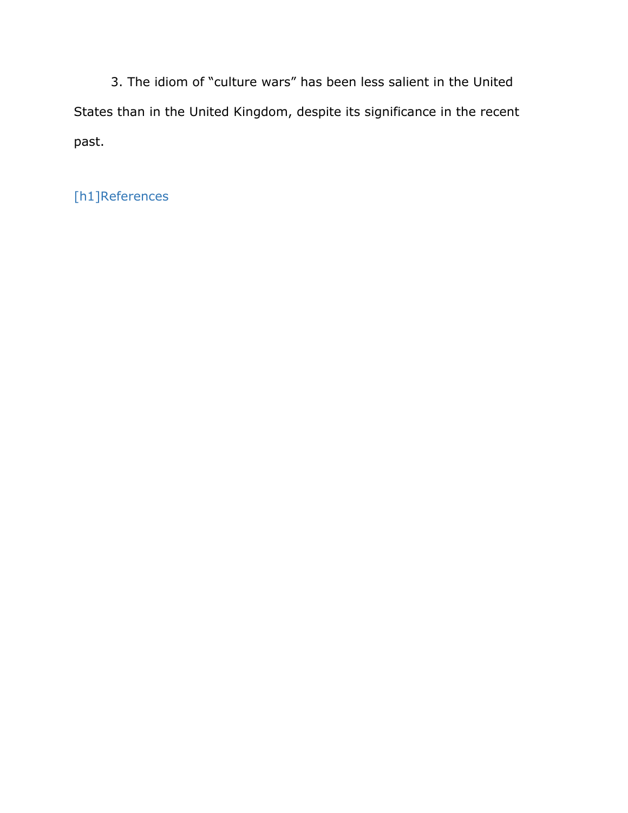3. The idiom of "culture wars" has been less salient in the United States than in the United Kingdom, despite its significance in the recent past.

[h1]References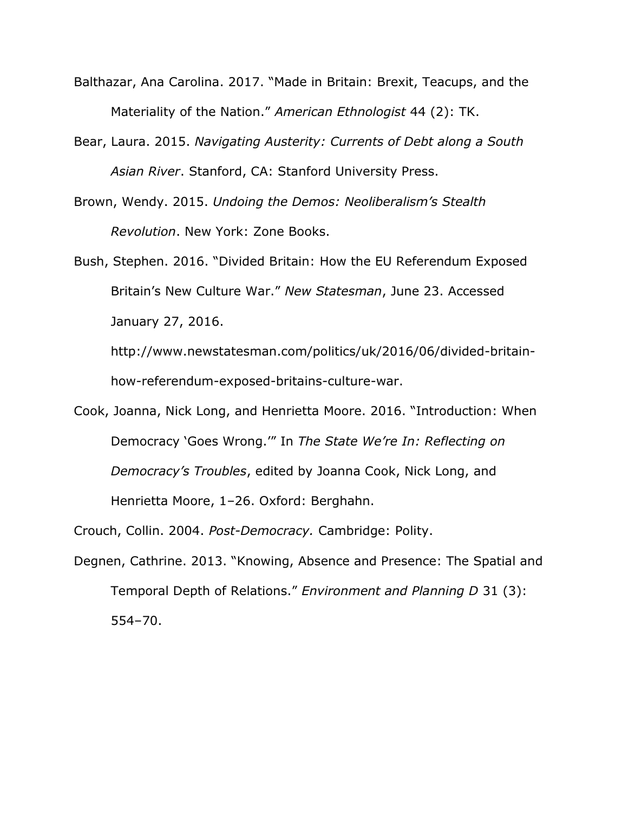- Balthazar, Ana Carolina. 2017. "Made in Britain: Brexit, Teacups, and the Materiality of the Nation." *American Ethnologist* 44 (2): TK.
- Bear, Laura. 2015. *Navigating Austerity: Currents of Debt along a South Asian River*. Stanford, CA: Stanford University Press.
- Brown, Wendy. 2015. *Undoing the Demos: Neoliberalism's Stealth Revolution*. New York: Zone Books.
- Bush, Stephen. 2016. "Divided Britain: How the EU Referendum Exposed Britain's New Culture War." *New Statesman*, June 23. Accessed January 27, 2016.

http://www.newstatesman.com/politics/uk/2016/06/divided-britainhow-referendum-exposed-britains-culture-war.

Cook, Joanna, Nick Long, and Henrietta Moore. 2016. "Introduction: When Democracy 'Goes Wrong.'" In *The State We're In: Reflecting on Democracy's Troubles*, edited by Joanna Cook, Nick Long, and Henrietta Moore, 1–26. Oxford: Berghahn.

Crouch, Collin. 2004. *Post-Democracy.* Cambridge: Polity.

Degnen, Cathrine. 2013. "Knowing, Absence and Presence: The Spatial and Temporal Depth of Relations." *Environment and Planning D* 31 (3): 554–70.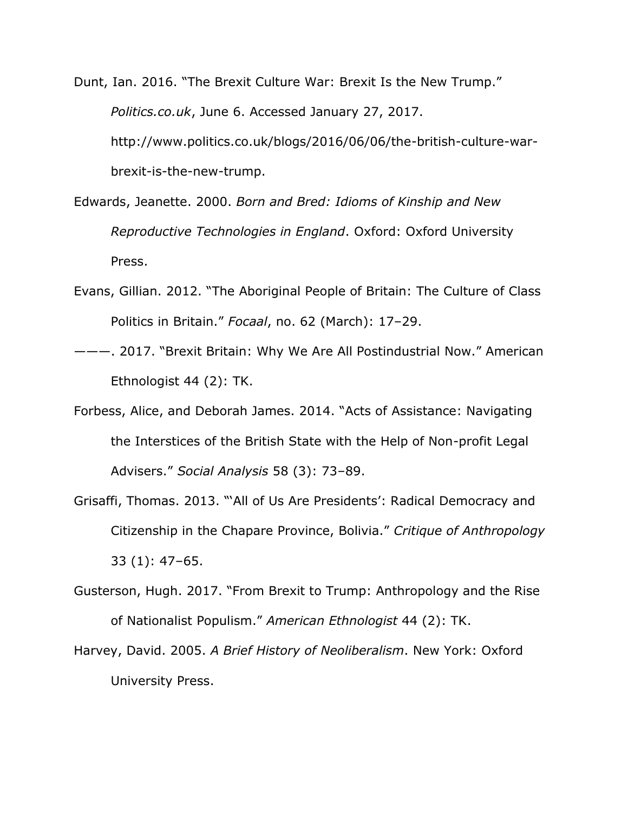Dunt, Ian. 2016. "The Brexit Culture War: Brexit Is the New Trump." *Politics.co.uk*, June 6. Accessed January 27, 2017. http://www.politics.co.uk/blogs/2016/06/06/the-british-culture-warbrexit-is-the-new-trump.

- Edwards, Jeanette. 2000. *Born and Bred: Idioms of Kinship and New Reproductive Technologies in England*. Oxford: Oxford University Press.
- Evans, Gillian. 2012. "The Aboriginal People of Britain: The Culture of Class Politics in Britain." *Focaal*, no. 62 (March): 17–29.
- ———. 2017. "Brexit Britain: Why We Are All Postindustrial Now." American Ethnologist 44 (2): TK.
- Forbess, Alice, and Deborah James. 2014. "Acts of Assistance: Navigating the Interstices of the British State with the Help of Non-profit Legal Advisers." *Social Analysis* 58 (3): 73–89.
- Grisaffi, Thomas. 2013. "'All of Us Are Presidents': Radical Democracy and Citizenship in the Chapare Province, Bolivia." *Critique of Anthropology* 33 (1): 47–65.
- Gusterson, Hugh. 2017. "From Brexit to Trump: Anthropology and the Rise of Nationalist Populism." *American Ethnologist* 44 (2): TK.
- Harvey, David. 2005. *A Brief History of Neoliberalism*. New York: Oxford University Press.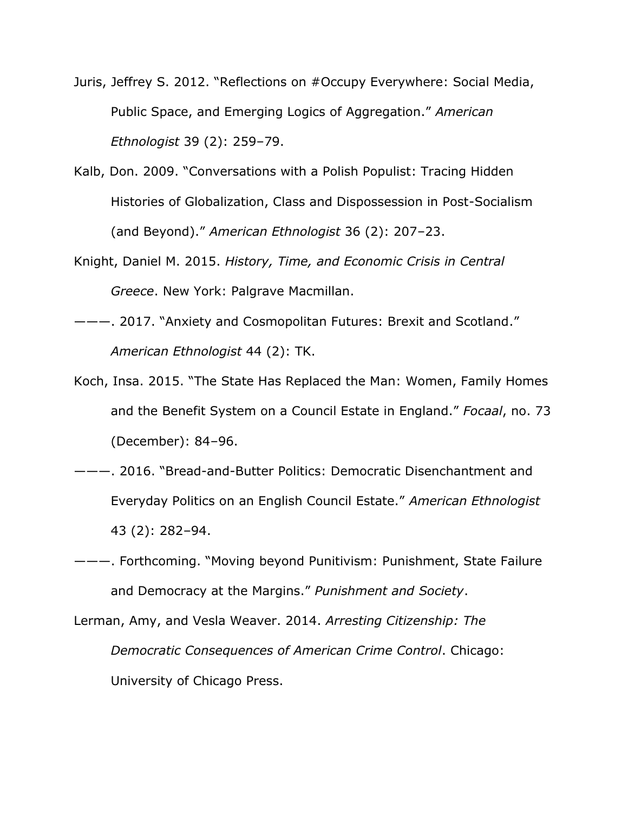- Juris, Jeffrey S. 2012. "Reflections on #Occupy Everywhere: Social Media, Public Space, and Emerging Logics of Aggregation." *American Ethnologist* 39 (2): 259–79.
- Kalb, Don. 2009. "Conversations with a Polish Populist: Tracing Hidden Histories of Globalization, Class and Dispossession in Post-Socialism (and Beyond)." *American Ethnologist* 36 (2): 207–23.
- Knight, Daniel M. 2015. *History, Time, and Economic Crisis in Central Greece*. New York: Palgrave Macmillan.
- ———. 2017. "Anxiety and Cosmopolitan Futures: Brexit and Scotland." *American Ethnologist* 44 (2): TK.
- Koch, Insa. 2015. "The State Has Replaced the Man: Women, Family Homes and the Benefit System on a Council Estate in England." *Focaal*, no. 73 (December): 84–96.
- ———. 2016. "Bread-and-Butter Politics: Democratic Disenchantment and Everyday Politics on an English Council Estate." *American Ethnologist* 43 (2): 282–94.
- ———. Forthcoming. "Moving beyond Punitivism: Punishment, State Failure and Democracy at the Margins." *Punishment and Society*.
- Lerman, Amy, and Vesla Weaver. 2014. *Arresting Citizenship: The Democratic Consequences of American Crime Control*. Chicago: University of Chicago Press.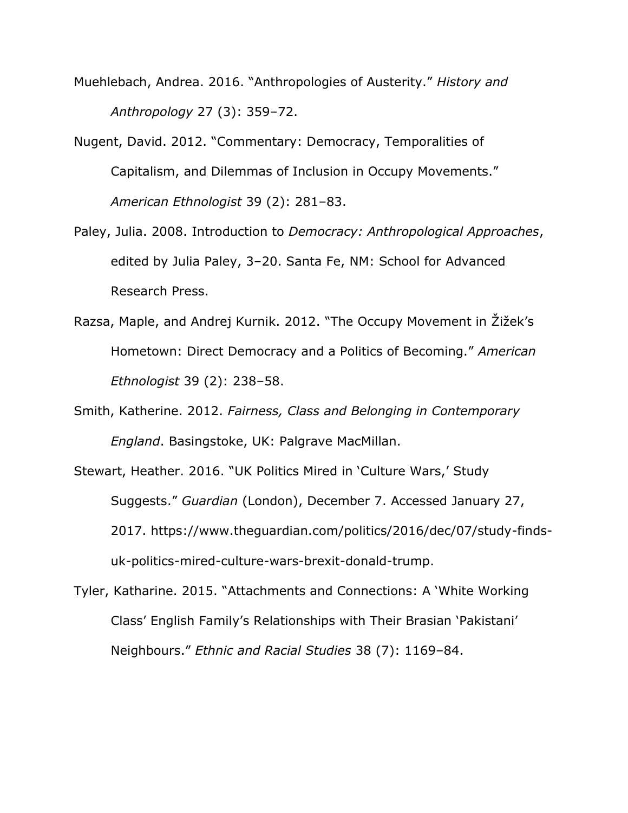- Muehlebach, Andrea. 2016. "Anthropologies of Austerity." *History and Anthropology* 27 (3): 359–72.
- Nugent, David. 2012. "Commentary: Democracy, Temporalities of Capitalism, and Dilemmas of Inclusion in Occupy Movements." *American Ethnologist* 39 (2): 281–83.
- Paley, Julia. 2008. Introduction to *Democracy: Anthropological Approaches*, edited by Julia Paley, 3–20. Santa Fe, NM: School for Advanced Research Press.
- Razsa, Maple, and Andrej Kurnik. 2012. "The Occupy Movement in Žižek's Hometown: Direct Democracy and a Politics of Becoming." *American Ethnologist* 39 (2): 238–58.
- Smith, Katherine. 2012. *Fairness, Class and Belonging in Contemporary England*. Basingstoke, UK: Palgrave MacMillan.
- Stewart, Heather. 2016. "UK Politics Mired in 'Culture Wars,' Study Suggests." *Guardian* (London), December 7. Accessed January 27, 2017. https://www.theguardian.com/politics/2016/dec/07/study-findsuk-politics-mired-culture-wars-brexit-donald-trump.
- Tyler, Katharine. 2015. "Attachments and Connections: A 'White Working Class' English Family's Relationships with Their Brasian 'Pakistani' Neighbours." *Ethnic and Racial Studies* 38 (7): 1169–84.